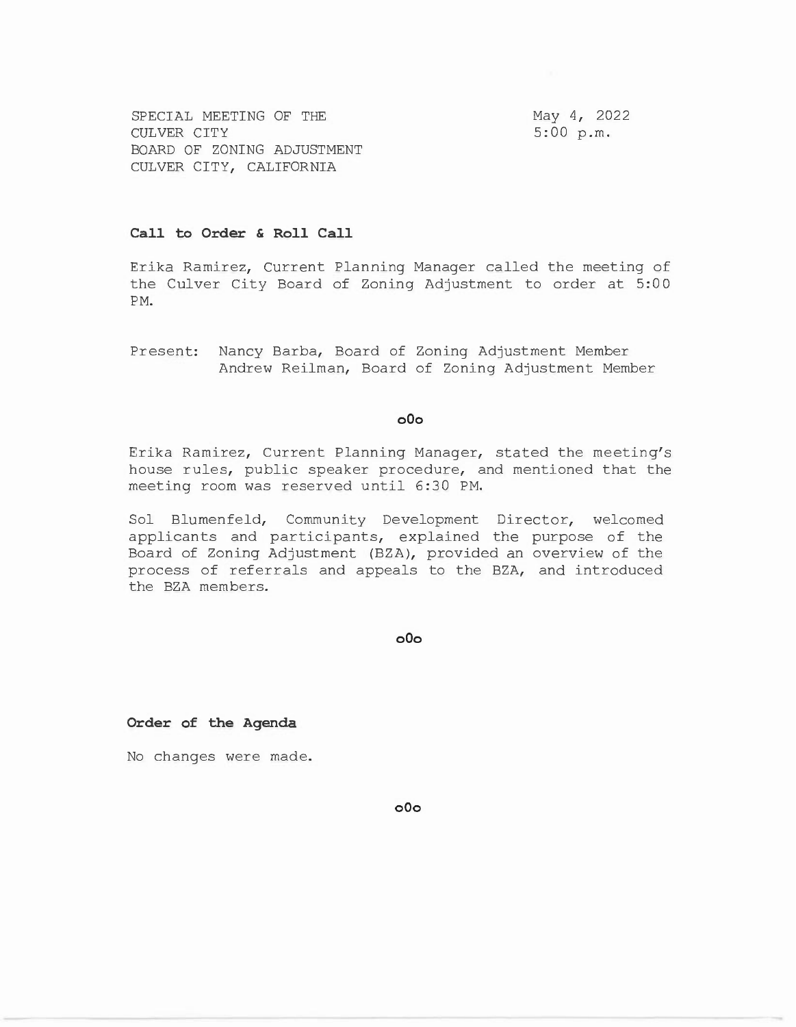SPECIAL MEETING OF THE CULVER CITY BOARD OF ZONING ADJUSTMENT CULVER CITY, CALIFORNIA

May 4, 2022 5:00 p.m.

## **Call to Order & Roll Call**

Erika Ramirez, Current Planning Manager called the meeting of the Culver City Board of Zoning Adjustment to order at 5:00 **PM.** 

Present: Nancy Barba, Board of Zoning Adjustment Member Andrew Reilman, Board of Zoning Adjustment Member

## **o0o**

Erika Ramirez, Current Planning Manager, stated the meeting's house rules, public speaker procedure, and mentioned that the meeting room was reserved until 6:30 PM.

Sol Blumenfeld, Community Development Director, welcomed applicants and participants, explained the purpose of the Board of Zoning Adjustment (BZA), provided an overview of the process of referrals and appeals to the BZA, and introduced the BZA members.

**o0o** 

**Order of the Agenda** 

No changes were made.

**o0o**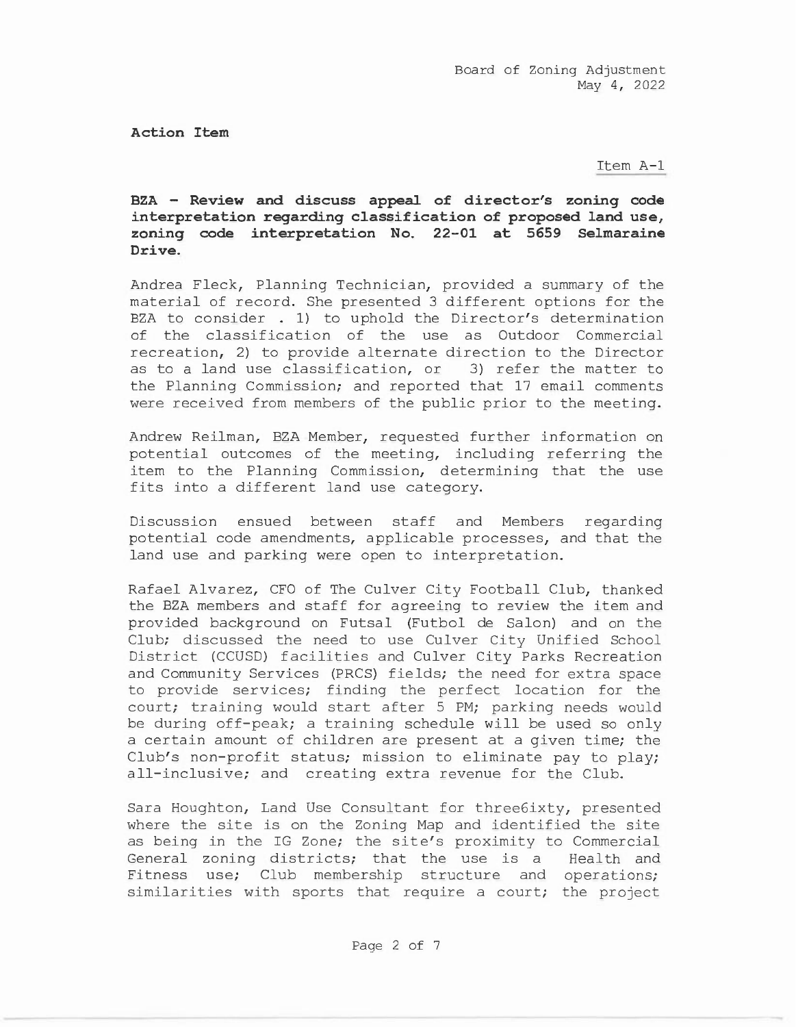**Action Item** 

Item A-1

**BZA - Review and discuss appeal of director's zoning code interpretation regarding classification of proposed land use, zoning code interpretation No. 22-01 at 5659 Selmaraine Drive.** 

Andrea Fleck, Planning Technician, provided a summary of the material of record. She presented 3 different options for the BZA to consider . 1) to uphold the Director's determination of the classification of the use as Outdoor Commercial recreation, 2) to provide alternate direction to the Director as to a land use classification, or 3) refer the matter to the Planning Commission; and reported that 17 email comments were received from members of the public prior to the meeting.

Andrew Reilman, BZA Member, requested further information on potential outcomes of the meeting, including referring the item to the Planning Commission, determining that the use fits into a different land use category.

Discussion ensued between staff and Members regarding potential code amendments, applicable processes, and that the land use and parking were open to interpretation.

Rafael Alvarez, CFO of The Culver City Football Club, thanked the BZA members and staff for agreeing to review the item and provided background on Futsal (Futbol de Salon) and on the Club; discussed the need to use Culver City Unified School District (CCUSD) facilities and Culver City Parks Recreation and Community Services (PRCS) fields; the need for extra space to provide services; finding the perfect location for the court; training would start after 5 PM; parking needs would be during off-peak; a training schedule will be used so only a certain amount of children are present at a given time; the Club's non-profit status; mission to eliminate pay to play; all-inclusive; and creating extra revenue for the Club.

Sara Houghton, Land Use Consultant for three6ixty, presented where the site is on the Zoning Map and identified the site as being in the IG Zone; the site's proximity to Commercial General zoning districts; that the use is a Health and Fitness use; Club membership structure and operations; similarities with sports that require a court; the project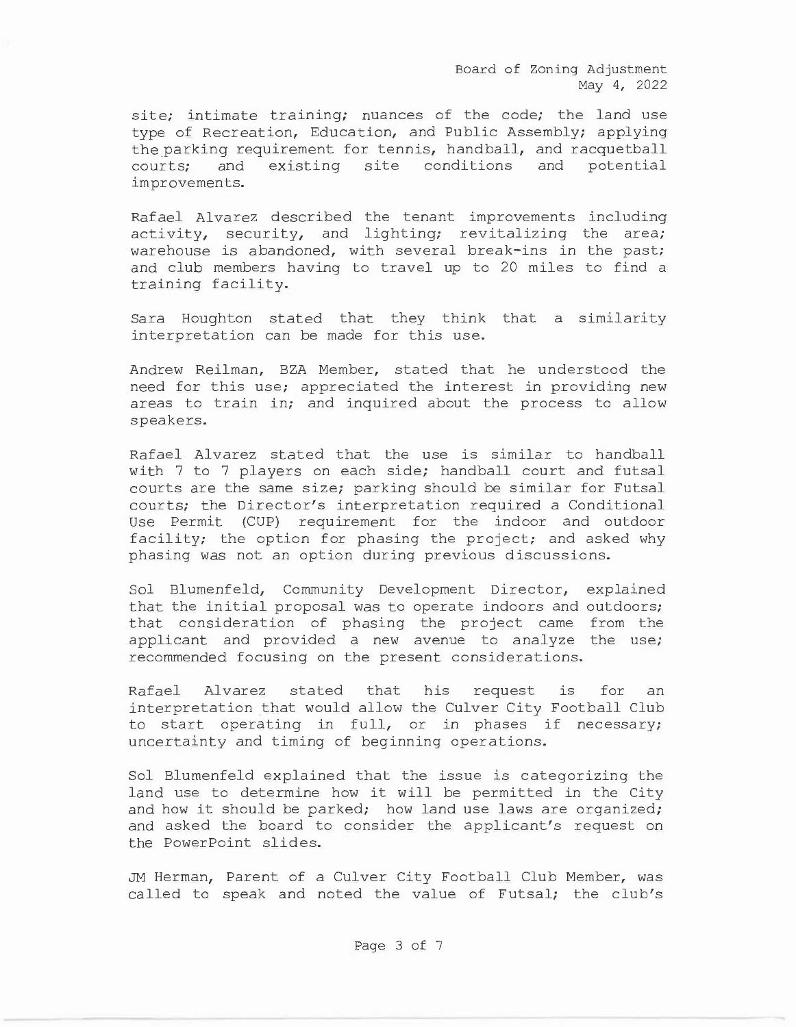Board of Zoning Adjustment May 4, 2022

site; intimate training; nuances of the code; the land use type of Recreation, Education, and Public Assembly; applying the parking requirement for tennis, handball, and racquetball courts; and existing site conditions and potential improvements.

Rafael Alvarez described the tenant improvements including activity, security, and lighting; revitalizing the area; warehouse is abandoned, with several break-ins in the past; and club members having to travel up to 20 miles to find a training facility.

Sara Houghton stated that they think that a similarity interpretation can be made for this use.

Andrew Reilman, BZA Member, stated that he understood the need for this use; appreciated the interest in providing new areas to train in; and inquired about the process to allow speakers.

Rafael Alvarez stated that the use is similar to handball with 7 to 7 players on each side; handball court and futsal courts are the same size; parking should be similar for Futsal courts; the Director's interpretation required a Conditional Use Permit (CUP) requirement for the indoor and outdoor facility; the option for phasing the project; and asked why phasing was not an option during previous discussions.

Sol Blumenfeld, Community Development Director, explained that the initial proposal was to operate indoors and outdoors; that consideration of phasing the project came from the applicant and provided a new avenue to analyze the use; recommended focusing on the present considerations.

Rafael Alvarez stated that his request is for an interpretation that would allow the Culver City Football Club to start operating in full, or in phases if necessary; uncertainty and timing of beginning operations.

Sol Blumenfeld explained that the issue is categorizing the land use to determine how it will be permitted in the City and how it should be parked; how land use laws are organized; and asked the board to consider the applicant's request on the PowerPoint slides.

JM Herman, Parent of a Culver City Football Club Member, was called to speak and noted the value of Futsal; the club's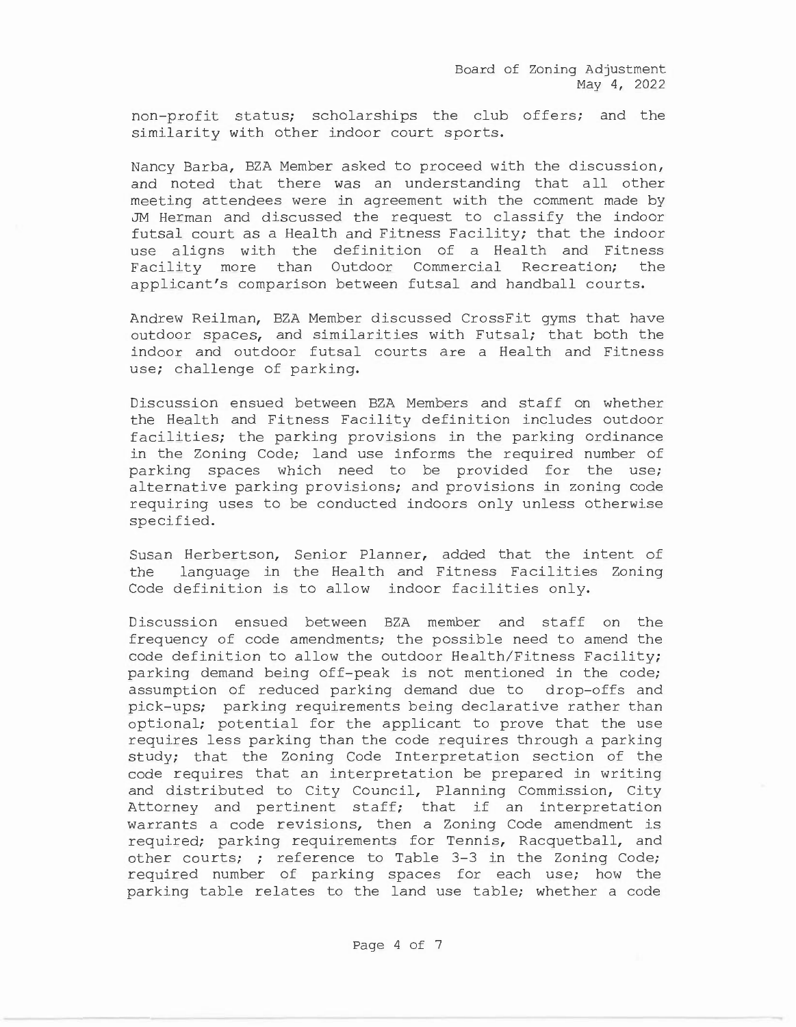Board of Zoning Adjustment May 4, 2022

non-profit status; scholarships the club offers; and the similarity with other indoor court sports.

Nancy Barba, BZA Member asked to proceed with the discussion, and noted that there was an understanding that all other meeting attendees were in agreement with the comment made by JM Herman and discussed the request to classify the indoor futsal court as a Health and Fitness Facility; that the indoor use aligns with the definition of a Health and Fitness Facility more than Outdoor Commercial Recreation; the applicant's comparison between futsal and handball courts.

Andrew Reilman, BZA Member discussed CrossFit gyms that have outdoor spaces, and similarities with Futsal; that both the indoor and outdoor futsal courts are a Health and Fitness use; challenge of parking.

Discussion ensued between BZA Members and staff on whether the Health and Fitness Facility definition includes outdoor facilities; the parking provisions in the parking ordinance in the Zoning Code; land use informs the required number of parking spaces which need to be provided for the use; alternative parking provisions; and provisions in zoning code requiring uses to be conducted indoors only unless otherwise specified.

Susan Herbertson, Senior Planner, added that the intent of the language in the Health and Fitness Facilities Zoning Code definition is to allow indoor facilities only.

Discussion ensued between BZA member and staff on the frequency of code amendments; the possible need to amend the code definition to allow the outdoor Health/Fitness Facility; parking demand being off-peak is not mentioned in the code; assumption of reduced parking demand due to drop-offs and pick-ups; parking requirements being declarative rather than optional; potential for the applicant to prove that the use requires less parking than the code requires through a parking study; that the Zoning Code Interpretation section of the code requires that an interpretation be prepared in writing and distributed to City Council, Planning Commission, City Attorney and pertinent staff; that if an interpretation warrants a code revisions, then a Zoning Code amendment is required; parking requirements for Tennis, Racquetball, and other courts; ; reference to Table 3-3 in the Zoning Code; required number of parking spaces for each use; how the parking table relates to the land use table; whether a code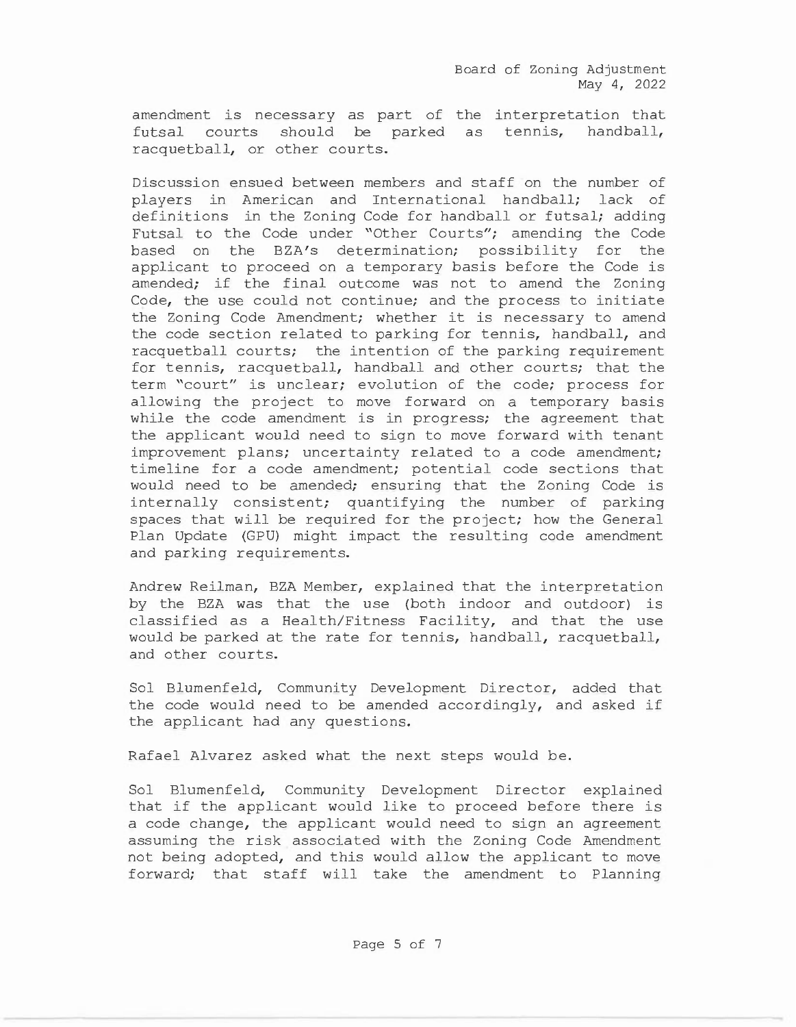amendment is necessary as part of the interpretation that futsal courts should be parked as tennis, handball, racquetball, or other courts.

Discussion ensued between members and staff on the number of players in American and International handball; lack of definitions in the Zoning Code for handball or futsal; adding Futsal to the Code under "Other Courts"; amending the Code based on the BZA's determination; possibility for the applicant to proceed on a temporary basis before the Code is amended; if the final outcome was not to amend the Zoning Code, the use could not continue; and the process to initiate the Zoning Code Amendment; whether it is necessary to amend the code section related to parking for tennis, handball, and racquetball courts; the intention of the parking requirement for tennis, racquetball, handball and other courts; that the term "court" is unclear; evolution of the code; process for allowing the project to move forward on a temporary basis while the code amendment is in progress; the agreement that the applicant would need to sign to move forward with tenant improvement plans; uncertainty related to a code amendment; timeline for a code amendment; potential code sections that would need to be amended; ensuring that the Zoning Code is internally consistent; quantifying the number of parking spaces that will be required for the project; how the General Plan Update (GPU) might impact the resulting code amendment and parking requirements.

Andrew Reilman, BZA Member, explained that the interpretation by the BZA was that the use (both indoor and outdoor) is classified as a Health/Fitness Facility, and that the use would be parked at the rate for tennis, handball, racquetball, and other courts.

Sol Blumenfeld, Community Development Director, added that the code would need to be amended accordingly, and asked if the applicant had any questions.

Rafael Alvarez asked what the next steps would be.

Sol Blumenfeld, Community Development Director explained that if the applicant would like to proceed before there is a code change, the applicant would need to sign an agreement assuming the risk associated with the Zoning Code Amendment not being adopted, and this would allow the applicant to move forward; that staff will take the amendment to Planning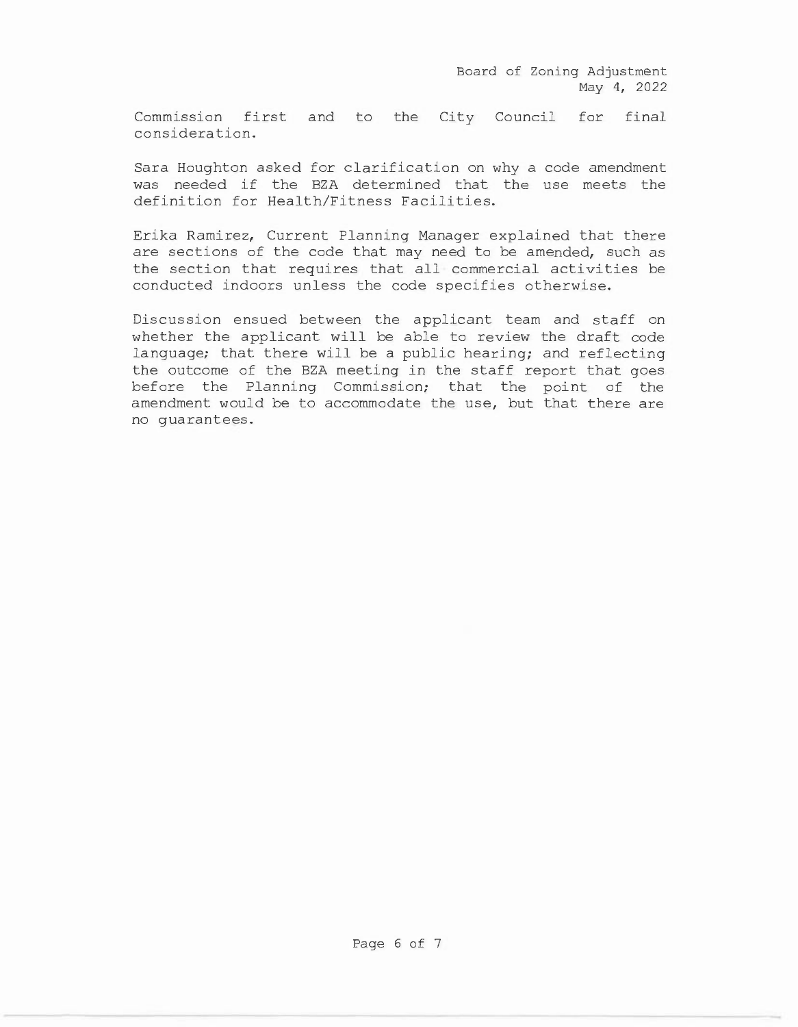Commission first and to the City Council for final consideration.

Sara Houghton asked for clarification on why a code amendment was needed if the BZA determined that the use meets the definition for Health/Fitness Facilities.

Erika Ramirez, Current Planning Manager explained that there are sections of the code that may need to be amended, such as the section that requires that all commercial activities be conducted indoors unless the code specifies otherwise.

Discussion ensued between the applicant team and staff on whether the applicant will be able to review the draft code language; that there will be a public hearing; and reflecting the outcome of the BZA meeting in the staff report that goes before the Planning Commission; that the point of the amendment would be to accommodate the use, but that there are no guarantees.